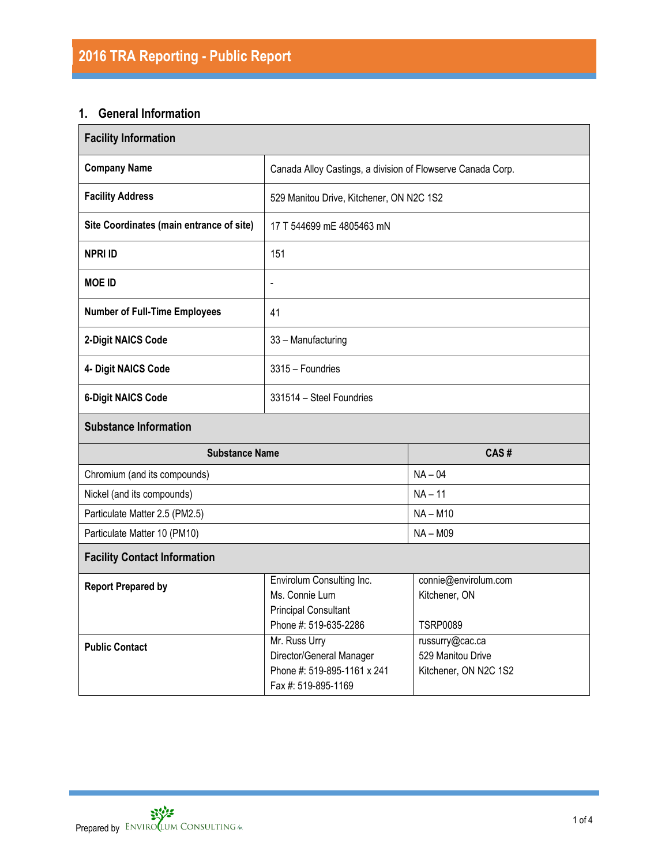# **1. General Information**

| <b>Facility Information</b>              |                                                                                                                                                                  |                                                          |  |  |  |  |  |
|------------------------------------------|------------------------------------------------------------------------------------------------------------------------------------------------------------------|----------------------------------------------------------|--|--|--|--|--|
| <b>Company Name</b>                      | Canada Alloy Castings, a division of Flowserve Canada Corp.                                                                                                      |                                                          |  |  |  |  |  |
| <b>Facility Address</b>                  | 529 Manitou Drive, Kitchener, ON N2C 1S2                                                                                                                         |                                                          |  |  |  |  |  |
| Site Coordinates (main entrance of site) | 17 T 544699 mE 4805463 mN                                                                                                                                        |                                                          |  |  |  |  |  |
| <b>NPRI ID</b>                           | 151                                                                                                                                                              |                                                          |  |  |  |  |  |
| <b>MOE ID</b>                            | $\overline{a}$                                                                                                                                                   |                                                          |  |  |  |  |  |
| <b>Number of Full-Time Employees</b>     | 41                                                                                                                                                               |                                                          |  |  |  |  |  |
| 2-Digit NAICS Code                       | 33 - Manufacturing                                                                                                                                               |                                                          |  |  |  |  |  |
| 4- Digit NAICS Code                      | 3315 - Foundries                                                                                                                                                 |                                                          |  |  |  |  |  |
| <b>6-Digit NAICS Code</b>                | 331514 - Steel Foundries                                                                                                                                         |                                                          |  |  |  |  |  |
| <b>Substance Information</b>             |                                                                                                                                                                  |                                                          |  |  |  |  |  |
| <b>Substance Name</b>                    |                                                                                                                                                                  | CAS#                                                     |  |  |  |  |  |
| Chromium (and its compounds)             |                                                                                                                                                                  | $NA - 04$                                                |  |  |  |  |  |
| Nickel (and its compounds)               |                                                                                                                                                                  | $NA - 11$                                                |  |  |  |  |  |
| Particulate Matter 2.5 (PM2.5)           |                                                                                                                                                                  | $NA - M10$                                               |  |  |  |  |  |
| Particulate Matter 10 (PM10)             |                                                                                                                                                                  | $NA - M09$                                               |  |  |  |  |  |
| <b>Facility Contact Information</b>      |                                                                                                                                                                  |                                                          |  |  |  |  |  |
| <b>Report Prepared by</b>                | Envirolum Consulting Inc.<br>Ms. Connie Lum<br><b>Principal Consultant</b><br>Phone #: 519-635-2286                                                              | connie@envirolum.com<br>Kitchener, ON<br><b>TSRP0089</b> |  |  |  |  |  |
| <b>Public Contact</b>                    | Mr. Russ Urry<br>russurry@cac.ca<br>Director/General Manager<br>529 Manitou Drive<br>Phone #: 519-895-1161 x 241<br>Kitchener, ON N2C 1S2<br>Fax #: 519-895-1169 |                                                          |  |  |  |  |  |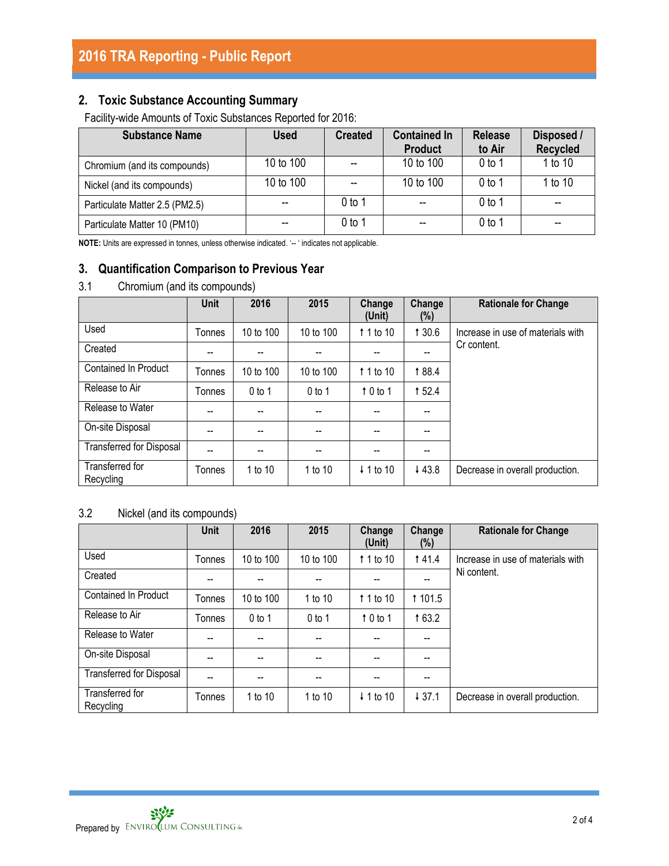## **2. Toxic Substance Accounting Summary**

Facility-wide Amounts of Toxic Substances Reported for 2016:

| <b>Substance Name</b>          | <b>Used</b> | <b>Created</b> | <b>Contained In</b><br><b>Product</b> | <b>Release</b><br>to Air | Disposed /<br><b>Recycled</b> |
|--------------------------------|-------------|----------------|---------------------------------------|--------------------------|-------------------------------|
| Chromium (and its compounds)   | 10 to 100   |                | 10 to 100                             | 0 <sub>to 1</sub>        | 1 to 10                       |
| Nickel (and its compounds)     | 10 to 100   |                | 10 to 100                             | $0$ to 1                 | 1 to 10                       |
| Particulate Matter 2.5 (PM2.5) |             | 0 to 1         | $- -$                                 | 0 <sub>to 1</sub>        | --                            |
| Particulate Matter 10 (PM10)   |             | 0 to 1         | $-$                                   | $0$ to 1                 | --                            |

**NOTE:** Units are expressed in tonnes, unless otherwise indicated. '-- ' indicates not applicable.

## **3. Quantification Comparison to Previous Year**

### 3.1 Chromium (and its compounds)

|                                 | <b>Unit</b> | 2016      | 2015      | Change<br>(Unit)     | Change<br>(%) | <b>Rationale for Change</b>       |
|---------------------------------|-------------|-----------|-----------|----------------------|---------------|-----------------------------------|
| Used                            | Tonnes      | 10 to 100 | 10 to 100 | 1 1 to 10            | 1 30.6        | Increase in use of materials with |
| Created                         | --          | --        |           |                      | --            | Cr content.                       |
| <b>Contained In Product</b>     | Tonnes      | 10 to 100 | 10 to 100 | 1 1 to 10            | 188.4         |                                   |
| Release to Air                  | Tonnes      | $0$ to 1  | $0$ to 1  | 10 to 1              | 1 52.4        |                                   |
| Release to Water                | --          | --        | $-$       | $-$                  | --            |                                   |
| On-site Disposal                |             | --        | --        |                      |               |                                   |
| <b>Transferred for Disposal</b> | --          | --        | --        |                      | --            |                                   |
| Transferred for<br>Recycling    | Tonnes      | 1 to 10   | 1 to 10   | $\downarrow$ 1 to 10 | ↓43.8         | Decrease in overall production.   |

## 3.2 Nickel (and its compounds)

|                                 | <b>Unit</b>   | 2016      | 2015                     | Change<br>(Unit)     | Change<br>(%)  | <b>Rationale for Change</b>       |
|---------------------------------|---------------|-----------|--------------------------|----------------------|----------------|-----------------------------------|
| Used                            | Tonnes        | 10 to 100 | 10 to 100                | 1 1 to 10            | <b>141.4</b>   | Increase in use of materials with |
| Created                         |               | --        |                          |                      |                | Ni content.                       |
| <b>Contained In Product</b>     | Tonnes        | 10 to 100 | 1 to 10                  | $\uparrow$ 1 to 10   | <b>t</b> 101.5 |                                   |
| Release to Air                  | <b>Tonnes</b> | $0$ to 1  | $0$ to 1                 | 10 to 1              | 163.2          |                                   |
| Release to Water                | --            | $-$       | --                       | --                   | --             |                                   |
| On-site Disposal                |               | $-$       | $\overline{\phantom{a}}$ |                      | --             |                                   |
| <b>Transferred for Disposal</b> | --            | --        | --                       |                      |                |                                   |
| Transferred for<br>Recycling    | Tonnes        | 1 to 10   | 1 to 10                  | $\downarrow$ 1 to 10 | 437.1          | Decrease in overall production.   |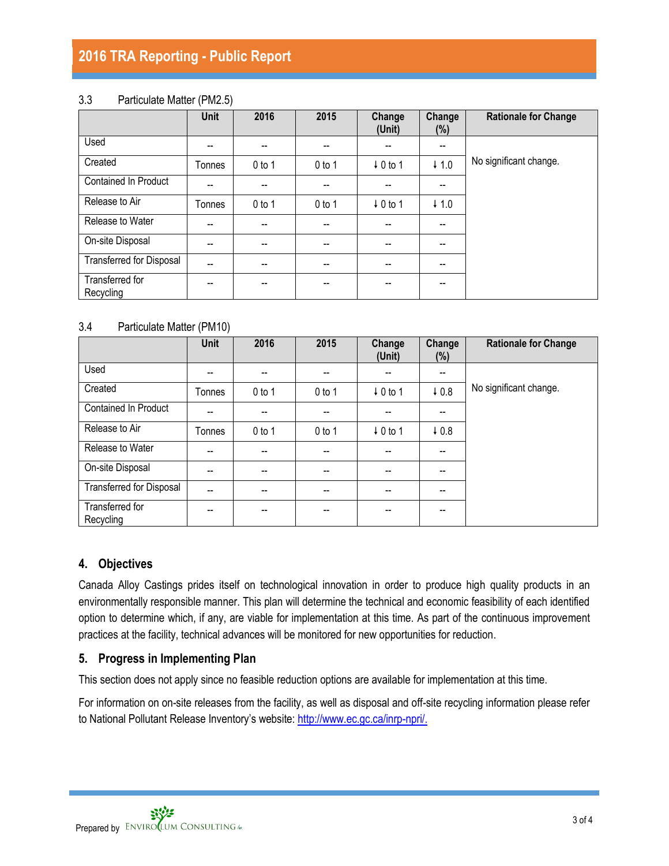# **2016 TRA Reporting - Public Report**

#### 3.3 Particulate Matter (PM2.5)

|                                 | <b>Unit</b> | 2016     | 2015     | Change<br>(Unit)         | Change<br>$(\%)$                      | <b>Rationale for Change</b> |
|---------------------------------|-------------|----------|----------|--------------------------|---------------------------------------|-----------------------------|
| Used                            | --          | --       | --       | $-$                      | $\overline{\phantom{a}}$              |                             |
| Created                         | Tonnes      | $0$ to 1 | $0$ to 1 | $\downarrow$ 0 to 1      | $\downarrow$ 1.0                      | No significant change.      |
| <b>Contained In Product</b>     | --          | --       |          | $- -$                    | $- -$                                 |                             |
| Release to Air                  | Tonnes      | $0$ to 1 | $0$ to 1 | $\downarrow$ 0 to 1      | $\downarrow$ 1.0                      |                             |
| Release to Water                | --          | $-$      | --       | $\overline{\phantom{a}}$ | $\overline{\phantom{a}}$              |                             |
| On-site Disposal                | --          | $- -$    |          | $- -$                    | $\overline{\phantom{a}}$              |                             |
| <b>Transferred for Disposal</b> | --          | --       |          | $- -$                    | --                                    |                             |
| Transferred for<br>Recycling    | --          | --       | --       | $- -$                    | $\hspace{0.05cm}$ – $\hspace{0.05cm}$ |                             |

#### 3.4 Particulate Matter (PM10)

|                                 | Unit   | 2016     | 2015     | Change<br>(Unit)         | Change<br>$(\%)$         | <b>Rationale for Change</b> |
|---------------------------------|--------|----------|----------|--------------------------|--------------------------|-----------------------------|
| Used                            | --     | $-$      | --       | $\overline{\phantom{a}}$ | $\overline{\phantom{a}}$ |                             |
| Created                         | Tonnes | $0$ to 1 | $0$ to 1 | $\downarrow$ 0 to 1      | $\sqrt{0.8}$             | No significant change.      |
| <b>Contained In Product</b>     | --     |          |          | --                       | --                       |                             |
| Release to Air                  | Tonnes | $0$ to 1 | $0$ to 1 | $\downarrow$ 0 to 1      | 0.8                      |                             |
| Release to Water                | --     | --       |          | $-$                      | $-$                      |                             |
| On-site Disposal                | --     | $-$      | --       | $\overline{\phantom{a}}$ | $\overline{\phantom{a}}$ |                             |
| <b>Transferred for Disposal</b> | --     | $-$      | --       | $\overline{\phantom{m}}$ | $\overline{\phantom{a}}$ |                             |
| Transferred for<br>Recycling    | --     |          |          |                          | --                       |                             |

#### **4. Objectives**

Canada Alloy Castings prides itself on technological innovation in order to produce high quality products in an environmentally responsible manner. This plan will determine the technical and economic feasibility of each identified option to determine which, if any, are viable for implementation at this time. As part of the continuous improvement practices at the facility, technical advances will be monitored for new opportunities for reduction.

### **5. Progress in Implementing Plan**

This section does not apply since no feasible reduction options are available for implementation at this time.

For information on on-site releases from the facility, as well as disposal and off-site recycling information please refer to National Pollutant Release Inventory's website: [http://www.ec.gc.ca/inrp-npri/.](http://www.ec.gc.ca/inrp-npri/)